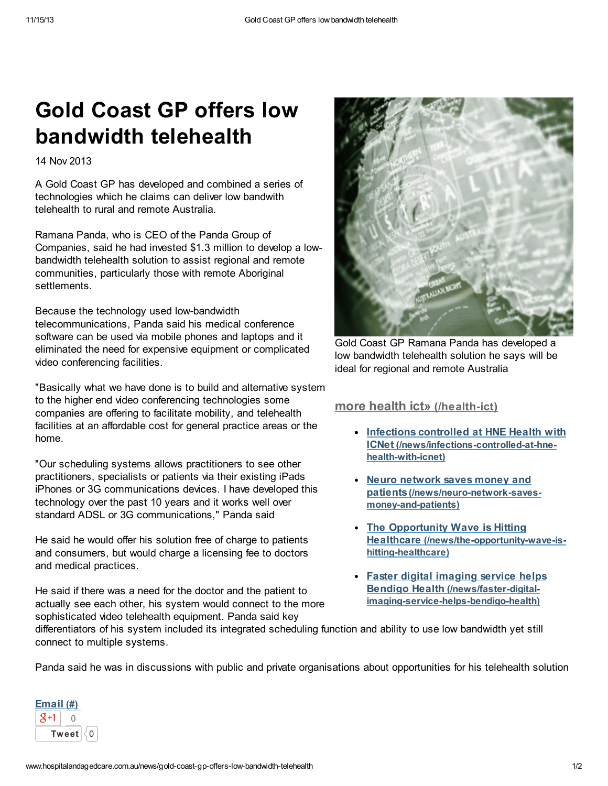# Gold Coast GP offers low bandwidth telehealth

14 Nov 2013

A Gold Coast GP has developed and combined a series of technologies which he claims can deliver low bandwith telehealth to rural and remote Australia.

Ramana Panda, who is CEO of the Panda Group of Companies, said he had invested \$1.3 million to develop a lowbandwidth telehealth solution to assist regional and remote communities, particularly those with remote Aboriginal settlements.

Because the technology used low-bandwidth telecommunications, Panda said his medical conference software can be used via mobile phones and laptops and it eliminated the need for expensive equipment or complicated video conferencing facilities.

"Basically what we have done is to build and alternative system to the higher end video conferencing technologies some companies are offering to facilitate mobility, and telehealth facilities at an affordable cost for general practice areas or the home.

"Our scheduling systems allows practitioners to see other practitioners, specialists or patients via their existing iPads iPhones or 3G communications devices. I have developed this technology over the past 10 years and it works well over standard ADSL or 3G communications," Panda said

He said he would offer his solution free of charge to patients and consumers, but would charge a licensing fee to doctors and medical practices.

He said if there was a need for the doctor and the patient to actually see each other, his system would connect to the more sophisticated video telehealth equipment. Panda said key



Gold Coast GP Ramana Panda has developed a low bandwidth telehealth solution he says will be ideal for regional and remote Australia

#### more health ict» [\(/health-ict\)](http://www.hospitalandagedcare.com.au/health-ict)

- Infections controlled at HNE Health with ICNet [\(/news/infections-controlled-at-hne](http://www.hospitalandagedcare.com.au/news/infections-controlled-at-hne-health-with-icnet)health-with-icnet)
- Neuro network saves money and patients[\(/news/neuro-network-saves](http://www.hospitalandagedcare.com.au/news/neuro-network-saves-money-and-patients)money-and-patients)
- The Opportunity Wave is Hitting Healthcare [\(/news/the-opportunity-wave-is](http://www.hospitalandagedcare.com.au/news/the-opportunity-wave-is-hitting-healthcare)hitting-healthcare)
- Faster digital imaging service helps Bendigo Health (/news/faster-digital[imaging-service-helps-bendigo-health\)](http://www.hospitalandagedcare.com.au/news/faster-digital-imaging-service-helps-bendigo-health)

differentiators of his system included its integrated scheduling function and ability to use low bandwidth yet still connect to multiple systems.

Panda said he was in discussions with public and private organisations about opportunities for his telehealth solution

| Email (#)    |  |  |
|--------------|--|--|
|              |  |  |
| <b>Tweet</b> |  |  |